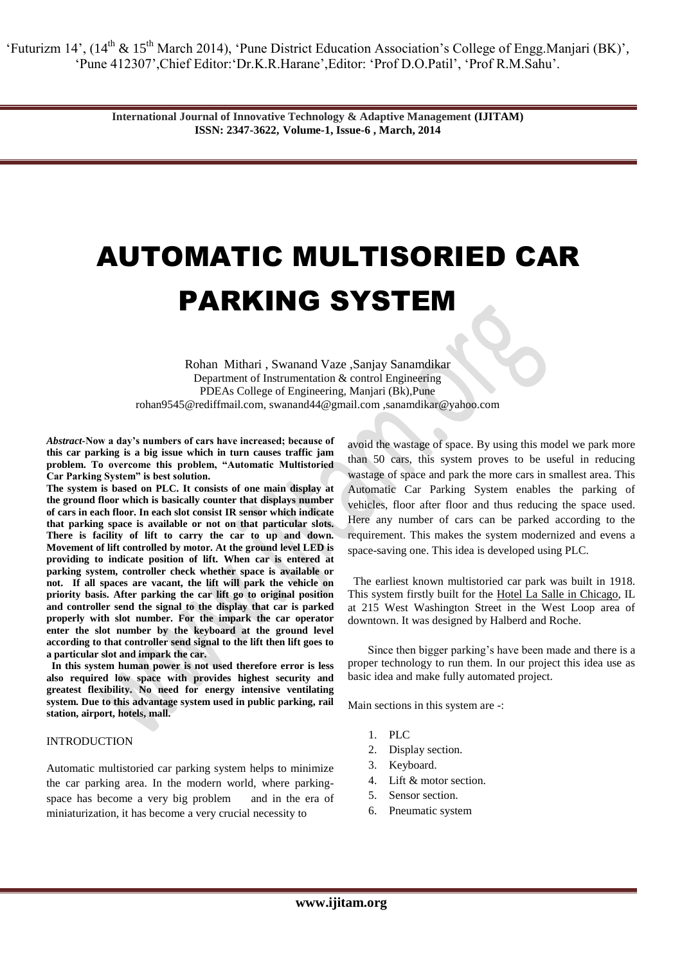> **International Journal of Innovative Technology & Adaptive Management (IJITAM) ISSN: 2347-3622, Volume-1, Issue-6 , March, 2014**

# AUTOMATIC MULTISORIED CAR PARKING SYSTEM

Rohan Mithari , Swanand Vaze ,Sanjay Sanamdikar Department of Instrumentation & control Engineering PDEAs College of Engineering, Manjari (Bk),Pune [rohan9545@rediffmail.com](mailto:rohan9545@rediffmail.com)*,* [swanand44@gmail.com](mailto:dipak25492@gmail.com) ,sanamdikar@yahoo.com

*Abstract-***Now a day's numbers of cars have increased; because of this car parking is a big issue which in turn causes traffic jam problem. To overcome this problem, "Automatic Multistoried Car Parking System" is best solution.**

**The system is based on PLC. It consists of one main display at the ground floor which is basically counter that displays number of cars in each floor. In each slot consist IR sensor which indicate that parking space is available or not on that particular slots. There is facility of lift to carry the car to up and down. Movement of lift controlled by motor. At the ground level LED is providing to indicate position of lift. When car is entered at parking system, controller check whether space is available or not. If all spaces are vacant, the lift will park the vehicle on priority basis. After parking the car lift go to original position and controller send the signal to the display that car is parked properly with slot number. For the impark the car operator enter the slot number by the keyboard at the ground level according to that controller send signal to the lift then lift goes to a particular slot and impark the car.**

 **In this system human power is not used therefore error is less also required low space with provides highest security and greatest flexibility. No need for energy intensive ventilating system. Due to this advantage system used in public parking, rail station, airport, hotels, mall.**

#### INTRODUCTION

Automatic multistoried car parking system helps to minimize the car parking area. In the modern world, where parkingspace has become a very big problem and in the era of miniaturization, it has become a very crucial necessity to

avoid the wastage of space. By using this model we park more than 50 cars, this system proves to be useful in reducing wastage of space and park the more cars in smallest area. This Automatic Car Parking System enables the parking of vehicles, floor after floor and thus reducing the space used. Here any number of cars can be parked according to the requirement. This makes the system modernized and evens a space-saving one. This idea is developed using PLC.

 The earliest known multistoried car park was built in 1918. This system firstly built for the Hotel La Salle in Chicago, IL at 215 West Washington Street in the West Loop area of downtown. It was designed by Halberd and Roche.

Since then bigger parking's have been made and there is a proper technology to run them. In our project this idea use as basic idea and make fully automated project.

Main sections in this system are -:

- 1. PLC
- 2. Display section.
- 3. Keyboard.
- 4. Lift & motor section.
- 5. Sensor section.
- 6. Pneumatic system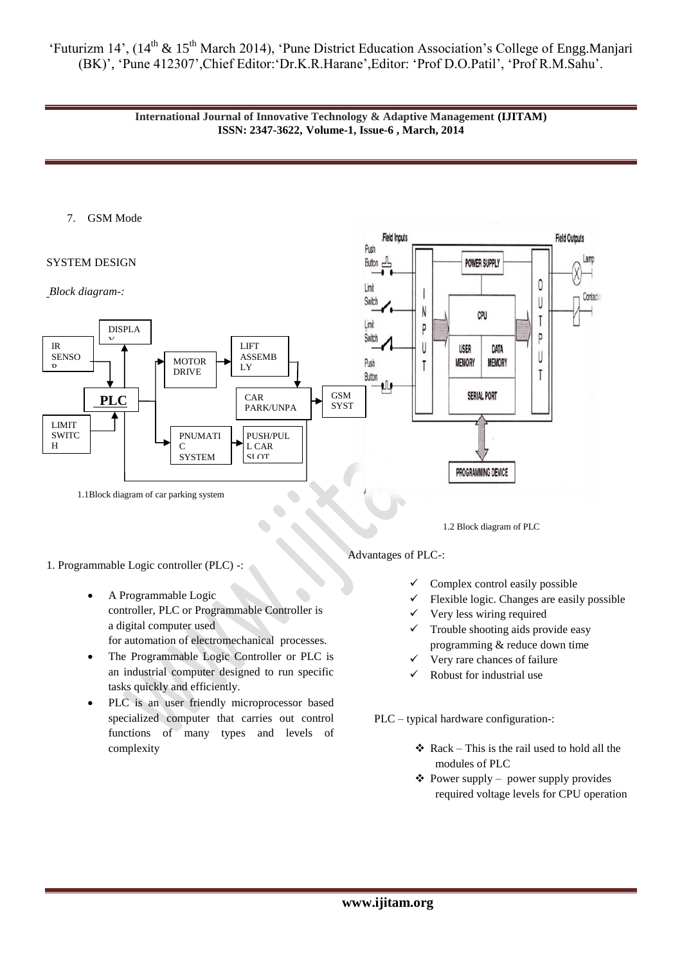

## 7. GSM Mode

#### SYSTEM DESIGN

## *Block diagram-:*



# 1. Programmable Logic controller (PLC) -:

- A Programmable Logic controller, PLC or Programmable Controller is a [digital computer](http://en.wikipedia.org/wiki/Digital_computer) used for [automation](http://en.wikipedia.org/wiki/Automation) of [electromechanical](http://en.wikipedia.org/wiki/Electromechanical) processes.
- The Programmable Logic Controller or PLC is an industrial computer designed to run specific tasks quickly and efficiently.
- PLC is an user friendly microprocessor based specialized computer that carries out control functions of many types and levels of complexity

1.2 Block diagram of PLC

POWER SUPPLY

## Advantages of PLC-:

Field Inputs

Push

Button

**Limit** 

- $\checkmark$  Complex control easily possible
- Flexible logic. Changes are easily possible

**Field Outputs** 

 $\theta$ 

- Very less wiring required
- $\checkmark$  Trouble shooting aids provide easy programming & reduce down time
- Very rare chances of failure
- Robust for industrial use

PLC – typical hardware configuration-:

- $\triangleleft$  Rack This is the rail used to hold all the modules of PLC
- $\triangle$  Power supply power supply provides required voltage levels for CPU operation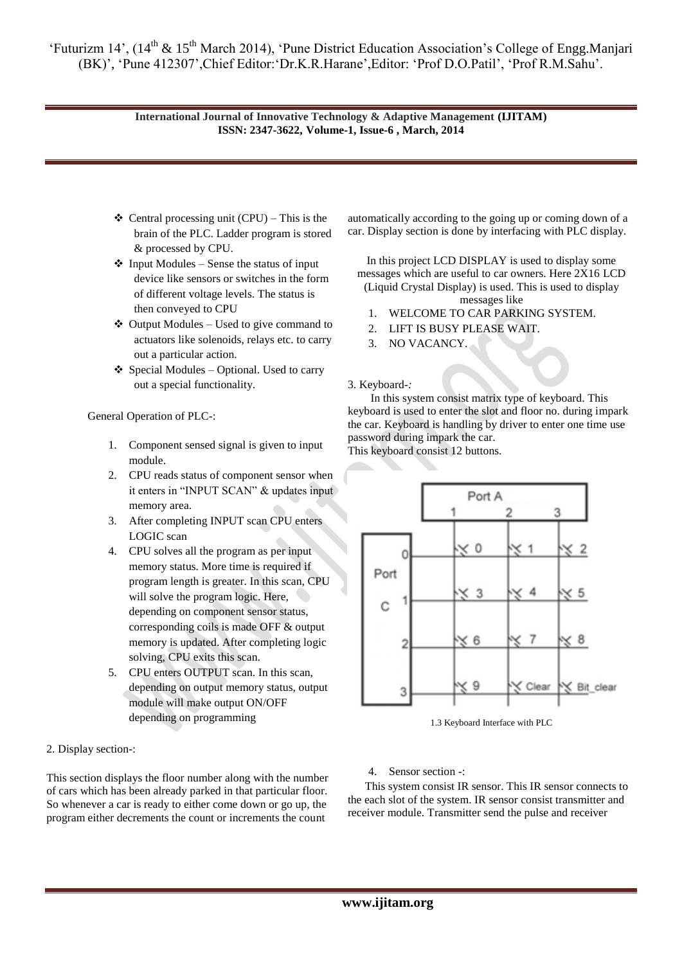## **International Journal of Innovative Technology & Adaptive Management (IJITAM) ISSN: 2347-3622, Volume-1, Issue-6 , March, 2014**

- $\triangleleft$  Central processing unit (CPU) This is the brain of the PLC. Ladder program is stored & processed by CPU.
- $\triangleleft$  Input Modules Sense the status of input device like sensors or switches in the form of different voltage levels. The status is then conveyed to CPU
- $\triangleleft$  Output Modules Used to give command to actuators like solenoids, relays etc. to carry out a particular action.
- $\triangle$  Special Modules Optional. Used to carry out a special functionality.

General Operation of PLC-:

- 1. Component sensed signal is given to input module.
- 2. CPU reads status of component sensor when it enters in "INPUT SCAN" & updates input memory area.
- 3. After completing INPUT scan CPU enters LOGIC scan
- 4. CPU solves all the program as per input memory status. More time is required if program length is greater. In this scan, CPU will solve the program logic. Here, depending on component sensor status, corresponding coils is made OFF & output memory is updated. After completing logic solving, CPU exits this scan.
- 5. CPU enters OUTPUT scan. In this scan, depending on output memory status, output module will make output ON/OFF depending on programming

2. Display section-:

This section displays the floor number along with the number of cars which has been already parked in that particular floor. So whenever a car is ready to either come down or go up, the program either decrements the count or increments the count

automatically according to the going up or coming down of a car. Display section is done by interfacing with PLC display.

In this project LCD DISPLAY is used to display some messages which are useful to car owners. Here 2X16 LCD (Liquid Crystal Display) is used. This is used to display messages like

- 1. WELCOME TO CAR PARKING SYSTEM.
- 2. LIFT IS BUSY PLEASE WAIT.
- 3. NO VACANCY.

## 3. Keyboard*-:*

 In this system consist matrix type of keyboard. This keyboard is used to enter the slot and floor no. during impark the car. Keyboard is handling by driver to enter one time use password during impark the car.

This keyboard consist 12 buttons.



1.3 Keyboard Interface with PLC

4. Sensor section -:

 This system consist IR sensor. This IR sensor connects to the each slot of the system. IR sensor consist transmitter and receiver module. Transmitter send the pulse and receiver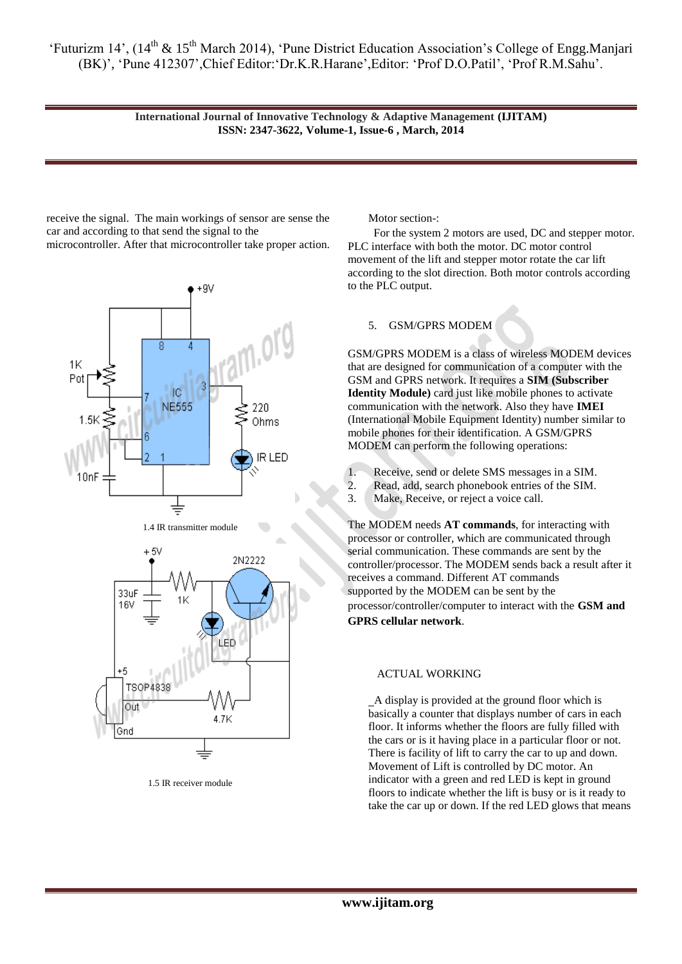> **International Journal of Innovative Technology & Adaptive Management (IJITAM) ISSN: 2347-3622, Volume-1, Issue-6 , March, 2014**

receive the signal. The main workings of sensor are sense the car and according to that send the signal to the microcontroller. After that microcontroller take proper action.



1.5 IR receiver module

Motor section-:

 For the system 2 motors are used, DC and stepper motor. PLC interface with both the motor. DC motor control movement of the lift and stepper motor rotate the car lift according to the slot direction. Both motor controls according to the PLC output.

## 5. GSM/GPRS MODEM

GSM/GPRS MODEM is a class of wireless MODEM devices that are designed for communication of a computer with the GSM and GPRS network. It requires a **SIM (Subscriber Identity Module)** card just like mobile phones to activate communication with the network. Also they have **IMEI** (International Mobile Equipment Identity) number similar to mobile phones for their identification. A GSM/GPRS MODEM can perform the following operations:

- 1. Receive, send or delete SMS messages in a SIM.
- 2. Read, add, search phonebook entries of the SIM.

3. Make, Receive, or reject a voice call.

The MODEM needs **AT commands**, for interacting with processor or controller, which are communicated through serial communication. These commands are sent by the controller/processor. The MODEM sends back a result after it receives a command. Different AT commands supported by the MODEM can be sent by the processor/controller/computer to interact with the **GSM and GPRS cellular network**.

#### ACTUAL WORKING

 A display is provided at the ground floor which is basically a counter that displays number of cars in each floor. It informs whether the floors are fully filled with the cars or is it having place in a particular floor or not. There is facility of lift to carry the car to up and down. Movement of Lift is controlled by DC motor. An indicator with a green and red LED is kept in ground floors to indicate whether the lift is busy or is it ready to take the car up or down. If the red LED glows that means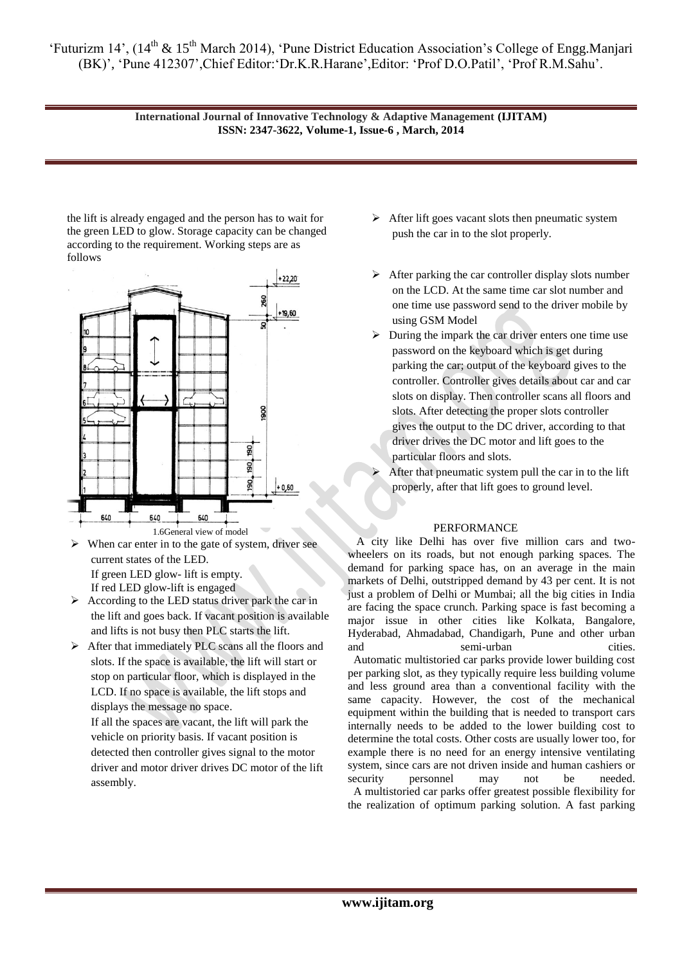> **International Journal of Innovative Technology & Adaptive Management (IJITAM) ISSN: 2347-3622, Volume-1, Issue-6 , March, 2014**

the lift is already engaged and the person has to wait for the green LED to glow. Storage capacity can be changed according to the requirement. Working steps are as follows



- $\triangleright$  When car enter in to the gate of system, driver see current states of the LED. If green LED glow- lift is empty. If red LED glow-lift is engaged
- $\triangleright$  According to the LED status driver park the car in the lift and goes back. If vacant position is available and lifts is not busy then PLC starts the lift.
- After that immediately PLC scans all the floors and slots. If the space is available, the lift will start or stop on particular floor, which is displayed in the LCD. If no space is available, the lift stops and displays the message no space. If all the spaces are vacant, the lift will park the

vehicle on priority basis. If vacant position is detected then controller gives signal to the motor driver and motor driver drives DC motor of the lift assembly.

- $\triangleright$  After lift goes vacant slots then pneumatic system push the car in to the slot properly.
- $\triangleright$  After parking the car controller display slots number on the LCD. At the same time car slot number and one time use password send to the driver mobile by using GSM Model
- $\triangleright$  During the impark the car driver enters one time use password on the keyboard which is get during parking the car; output of the keyboard gives to the controller. Controller gives details about car and car slots on display. Then controller scans all floors and slots. After detecting the proper slots controller gives the output to the DC driver, according to that driver drives the DC motor and lift goes to the particular floors and slots.
- After that pneumatic system pull the car in to the lift properly, after that lift goes to ground level.

#### PERFORMANCE

A city like Delhi has over five million cars and twowheelers on its roads, but not enough parking spaces. The demand for parking space has, on an average in the main markets of Delhi, outstripped demand by 43 per cent. It is not just a problem of Delhi or Mumbai; all the big cities in India are facing the space crunch. Parking space is fast becoming a major issue in other cities like Kolkata, Bangalore, Hyderabad, Ahmadabad, Chandigarh, Pune and other urban and semi-urban cities. Automatic multistoried car parks provide lower building cost

per parking slot, as they typically require less building volume and less ground area than a conventional facility with the same capacity. However, the cost of the mechanical equipment within the building that is needed to transport cars internally needs to be added to the lower building cost to determine the total costs. Other costs are usually lower too, for example there is no need for an energy intensive ventilating system, since cars are not driven inside and human cashiers or security personnel may not be needed. A multistoried car parks offer greatest possible flexibility for the realization of optimum parking solution. A fast parking